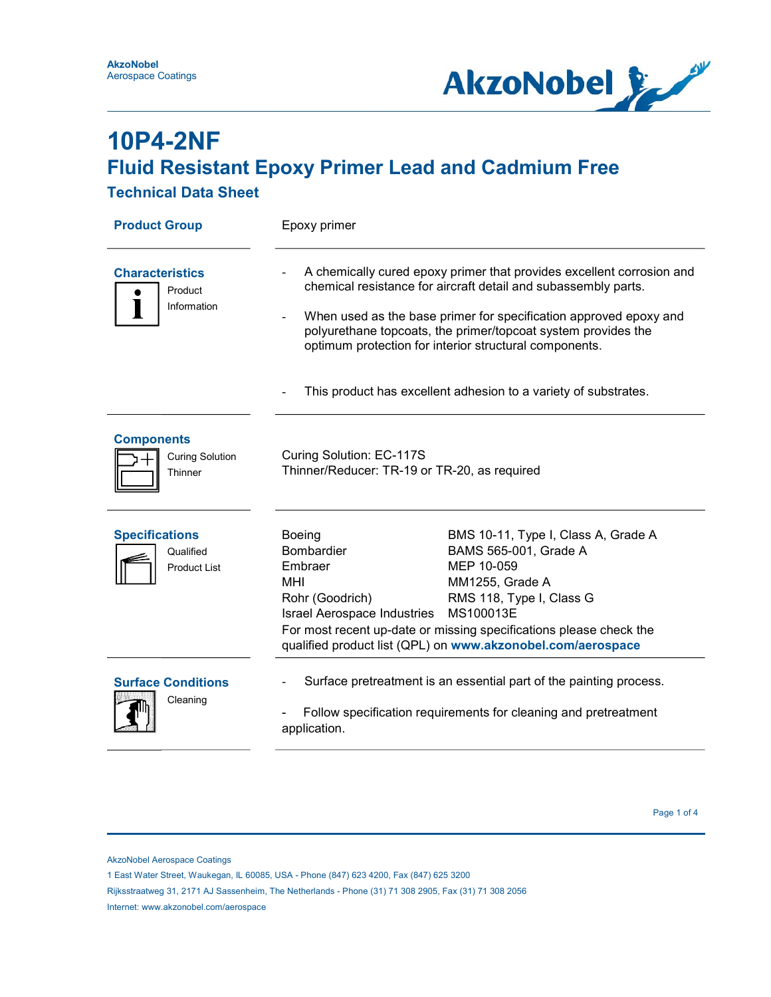

### Technical Data Sheet

| <b>Product Group</b>                                      | Epoxy primer                                                                                                                                                                                                                                                                                                                            |                                                                                                                                                                                                                                                                             |  |
|-----------------------------------------------------------|-----------------------------------------------------------------------------------------------------------------------------------------------------------------------------------------------------------------------------------------------------------------------------------------------------------------------------------------|-----------------------------------------------------------------------------------------------------------------------------------------------------------------------------------------------------------------------------------------------------------------------------|--|
| <b>Characteristics</b><br>Product<br>Information          | A chemically cured epoxy primer that provides excellent corrosion and<br>chemical resistance for aircraft detail and subassembly parts.<br>When used as the base primer for specification approved epoxy and<br>polyurethane topcoats, the primer/topcoat system provides the<br>optimum protection for interior structural components. |                                                                                                                                                                                                                                                                             |  |
|                                                           | This product has excellent adhesion to a variety of substrates.                                                                                                                                                                                                                                                                         |                                                                                                                                                                                                                                                                             |  |
| <b>Components</b><br><b>Curing Solution</b><br>Thinner    | Curing Solution: EC-117S<br>Thinner/Reducer: TR-19 or TR-20, as required                                                                                                                                                                                                                                                                |                                                                                                                                                                                                                                                                             |  |
| <b>Specifications</b><br>Qualified<br><b>Product List</b> | Boeing<br>Bombardier<br>Embraer<br>MHI<br>Rohr (Goodrich)<br><b>Israel Aerospace Industries</b>                                                                                                                                                                                                                                         | BMS 10-11, Type I, Class A, Grade A<br>BAMS 565-001, Grade A<br>MEP 10-059<br>MM1255, Grade A<br>RMS 118, Type I, Class G<br>MS100013E<br>For most recent up-date or missing specifications please check the<br>qualified product list (QPL) on www.akzonobel.com/aerospace |  |
| <b>Surface Conditions</b><br>Cleaning                     | Surface pretreatment is an essential part of the painting process.<br>Follow specification requirements for cleaning and pretreatment<br>application.                                                                                                                                                                                   |                                                                                                                                                                                                                                                                             |  |

AkzoNobel Aerospace Coatings

Rijksstraatweg 31, 2171 AJ Sassenheim, The Netherlands - Phone (31) 71 308 2905, Fax (31) 71 308 2056

Internet: www.akzonobel.com/aerospace

 <sup>1</sup> East Water Street, Waukegan, IL 60085, USA - Phone (847) 623 4200, Fax (847) 625 3200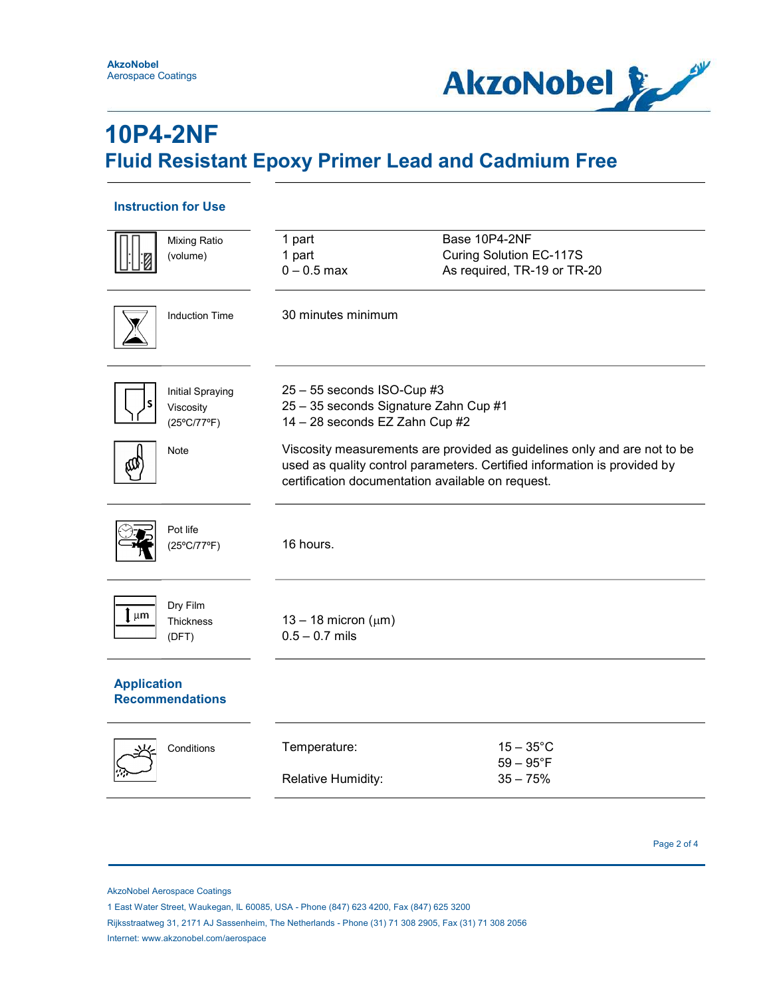

### Instruction for Use

| <b>Mixing Ratio</b><br>(volume)                                             | 1 part<br>1 part<br>$0 - 0.5$ max                                                                                                                                                                                                                                                                                    | Base 10P4-2NF<br>Curing Solution EC-117S<br>As required, TR-19 or TR-20 |
|-----------------------------------------------------------------------------|----------------------------------------------------------------------------------------------------------------------------------------------------------------------------------------------------------------------------------------------------------------------------------------------------------------------|-------------------------------------------------------------------------|
| <b>Induction Time</b>                                                       | 30 minutes minimum                                                                                                                                                                                                                                                                                                   |                                                                         |
| <b>Initial Spraying</b><br>Viscosity<br>$(25^{\circ}C/77^{\circ}F)$<br>Note | $25 - 55$ seconds ISO-Cup #3<br>25 - 35 seconds Signature Zahn Cup #1<br>14 - 28 seconds EZ Zahn Cup #2<br>Viscosity measurements are provided as guidelines only and are not to be<br>used as quality control parameters. Certified information is provided by<br>certification documentation available on request. |                                                                         |
| Pot life<br>(25°C/77°F)                                                     | 16 hours.                                                                                                                                                                                                                                                                                                            |                                                                         |
| Dry Film<br>µm<br><b>Thickness</b><br>(DFT)                                 | 13 – 18 micron ( $\mu$ m)<br>$0.5 - 0.7$ mils                                                                                                                                                                                                                                                                        |                                                                         |
| <b>Application</b><br><b>Recommendations</b>                                |                                                                                                                                                                                                                                                                                                                      |                                                                         |
| Conditions                                                                  | Temperature:<br>Relative Humidity:                                                                                                                                                                                                                                                                                   | $15-35^{\circ}$ C<br>$59 - 95^{\circ}F$<br>$35 - 75%$                   |

Page 2 of 4

AkzoNobel Aerospace Coatings

1 East Water Street, Waukegan, IL 60085, USA - Phone (847) 623 4200, Fax (847) 625 3200

 Rijksstraatweg 31, 2171 AJ Sassenheim, The Netherlands - Phone (31) 71 308 2905, Fax (31) 71 308 2056 Internet: www.akzonobel.com/aerospace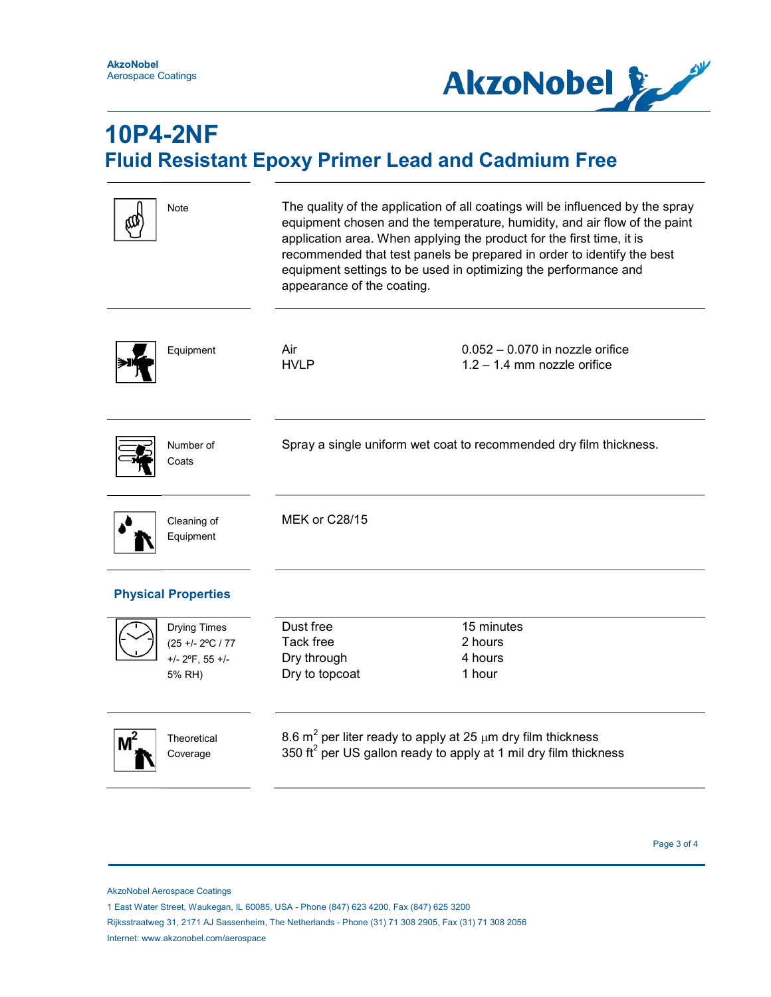

|                            | Note                                                                    | The quality of the application of all coatings will be influenced by the spray<br>equipment chosen and the temperature, humidity, and air flow of the paint<br>application area. When applying the product for the first time, it is<br>recommended that test panels be prepared in order to identify the best<br>equipment settings to be used in optimizing the performance and<br>appearance of the coating. |                                                                    |  |
|----------------------------|-------------------------------------------------------------------------|-----------------------------------------------------------------------------------------------------------------------------------------------------------------------------------------------------------------------------------------------------------------------------------------------------------------------------------------------------------------------------------------------------------------|--------------------------------------------------------------------|--|
|                            | Equipment                                                               | Air<br><b>HVLP</b>                                                                                                                                                                                                                                                                                                                                                                                              | $0.052 - 0.070$ in nozzle orifice<br>$1.2 - 1.4$ mm nozzle orifice |  |
|                            | Number of<br>Coats                                                      | Spray a single uniform wet coat to recommended dry film thickness.                                                                                                                                                                                                                                                                                                                                              |                                                                    |  |
|                            | Cleaning of<br>Equipment                                                | <b>MEK or C28/15</b>                                                                                                                                                                                                                                                                                                                                                                                            |                                                                    |  |
| <b>Physical Properties</b> |                                                                         |                                                                                                                                                                                                                                                                                                                                                                                                                 |                                                                    |  |
|                            | <b>Drying Times</b><br>(25 +/- 2°C / 77<br>$+/- 2$ °F, 55 +/-<br>5% RH) | Dust free<br>Tack free<br>Dry through<br>Dry to topcoat                                                                                                                                                                                                                                                                                                                                                         | 15 minutes<br>2 hours<br>4 hours<br>1 hour                         |  |
|                            | Theoretical<br>Coverage                                                 | 8.6 $m^2$ per liter ready to apply at 25 $\mu$ m dry film thickness<br>350 ft <sup>2</sup> per US gallon ready to apply at 1 mil dry film thickness                                                                                                                                                                                                                                                             |                                                                    |  |

Page 3 of 4 and 2 and 2 and 2 and 2 and 2 and 2 and 2 and 2 and 2 and 2 and 2 and 2 and 2 and 2 and 2 and 2 and 2 and 2 and 2 and 2 and 2 and 2 and 2 and 2 and 2 and 2 and 2 and 2 and 2 and 2 and 2 and 2 and 2 and 2 and 2

 Rijksstraatweg 31, 2171 AJ Sassenheim, The Netherlands - Phone (31) 71 308 2905, Fax (31) 71 308 2056 Internet: www.akzonobel.com/aerospace

AkzoNobel Aerospace Coatings

 <sup>1</sup> East Water Street, Waukegan, IL 60085, USA - Phone (847) 623 4200, Fax (847) 625 3200